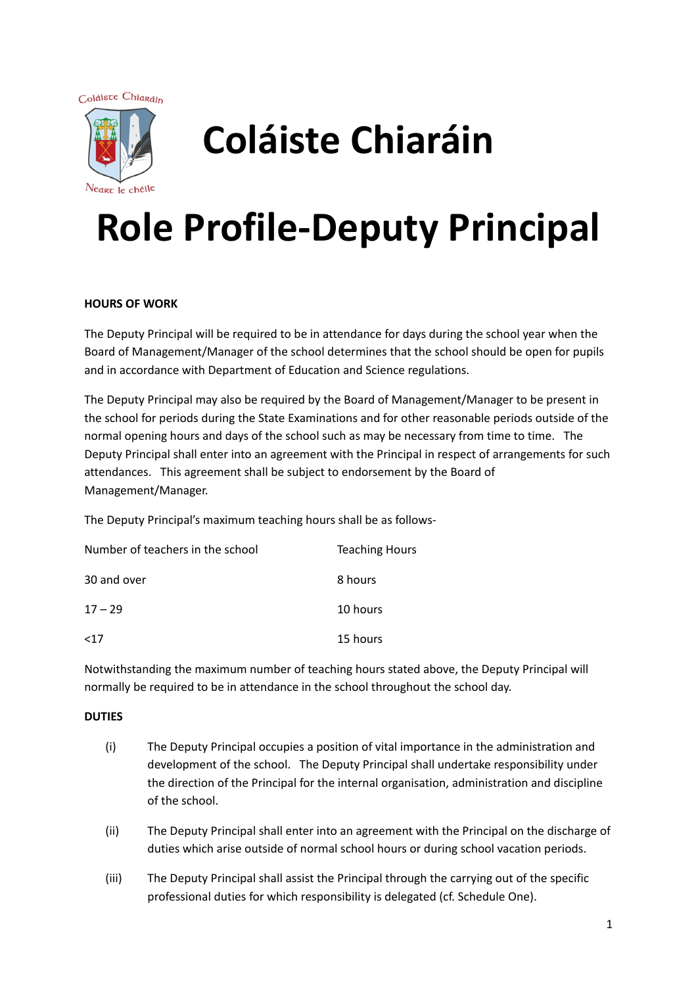Coláiste Chiaráin



# **Coláiste Chiaráin**

# **Role Profile-Deputy Principal**

### **HOURS OF WORK**

The Deputy Principal will be required to be in attendance for days during the school year when the Board of Management/Manager of the school determines that the school should be open for pupils and in accordance with Department of Education and Science regulations.

The Deputy Principal may also be required by the Board of Management/Manager to be present in the school for periods during the State Examinations and for other reasonable periods outside of the normal opening hours and days of the school such as may be necessary from time to time. The Deputy Principal shall enter into an agreement with the Principal in respect of arrangements for such attendances. This agreement shall be subject to endorsement by the Board of Management/Manager.

The Deputy Principal's maximum teaching hours shall be as follows-

| Number of teachers in the school | <b>Teaching Hours</b> |
|----------------------------------|-----------------------|
| 30 and over                      | 8 hours               |
| $17 - 29$                        | 10 hours              |
| $17$                             | 15 hours              |

Notwithstanding the maximum number of teaching hours stated above, the Deputy Principal will normally be required to be in attendance in the school throughout the school day.

#### **DUTIES**

- (i) The Deputy Principal occupies a position of vital importance in the administration and development of the school. The Deputy Principal shall undertake responsibility under the direction of the Principal for the internal organisation, administration and discipline of the school.
- (ii) The Deputy Principal shall enter into an agreement with the Principal on the discharge of duties which arise outside of normal school hours or during school vacation periods.
- (iii) The Deputy Principal shall assist the Principal through the carrying out of the specific professional duties for which responsibility is delegated (cf. Schedule One).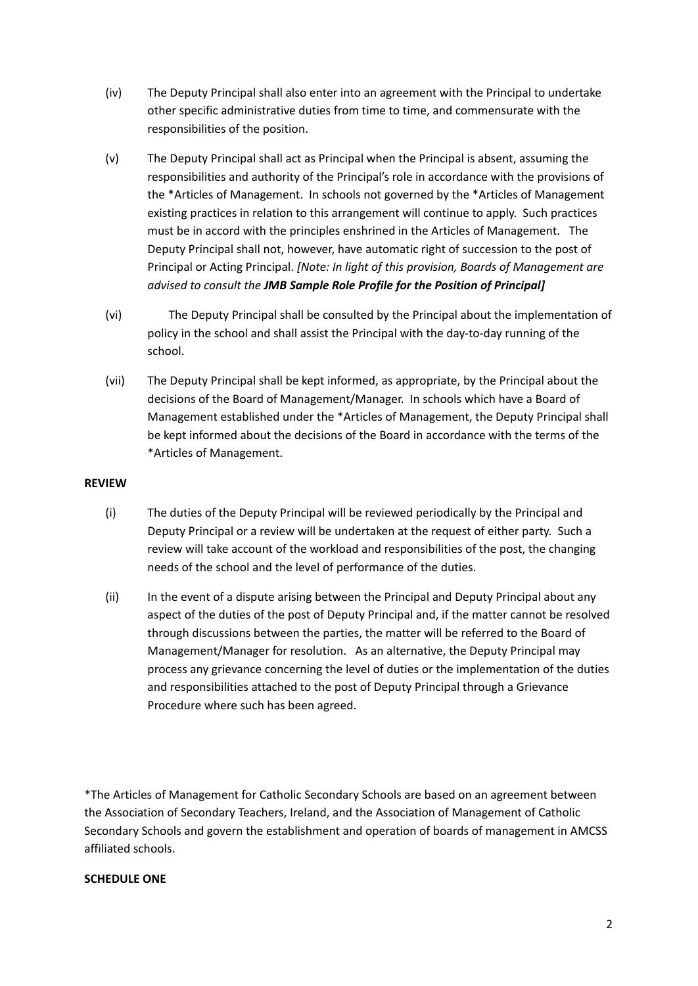- (iv) The Deputy Principal shall also enter into an agreement with the Principal to undertake other specific administrative duties from time to time, and commensurate with the responsibilities of the position.
- (v) The Deputy Principal shall act as Principal when the Principal is absent, assuming the responsibilities and authority of the Principal's role in accordance with the provisions of the \*Articles of Management. In schools not governed by the \*Articles of Management existing practices in relation to this arrangement will continue to apply. Such practices must be in accord with the principles enshrined in the Articles of Management. The Deputy Principal shall not, however, have automatic right of succession to the post of Principal or Acting Principal. *[Note: In light of this provision, Boards of Management are advised to consult the JMB Sample Role Profile for the Position of Principal]*
- (vi) The Deputy Principal shall be consulted by the Principal about the implementation of policy in the school and shall assist the Principal with the day-to-day running of the school.
- (vii) The Deputy Principal shall be kept informed, as appropriate, by the Principal about the decisions of the Board of Management/Manager. In schools which have a Board of Management established under the \*Articles of Management, the Deputy Principal shall be kept informed about the decisions of the Board in accordance with the terms of the \*Articles of Management.

### **REVIEW**

- (i) The duties of the Deputy Principal will be reviewed periodically by the Principal and Deputy Principal or a review will be undertaken at the request of either party. Such a review will take account of the workload and responsibilities of the post, the changing needs of the school and the level of performance of the duties.
- (ii) In the event of a dispute arising between the Principal and Deputy Principal about any aspect of the duties of the post of Deputy Principal and, if the matter cannot be resolved through discussions between the parties, the matter will be referred to the Board of Management/Manager for resolution. As an alternative, the Deputy Principal may process any grievance concerning the level of duties or the implementation of the duties and responsibilities attached to the post of Deputy Principal through a Grievance Procedure where such has been agreed.

\*The Articles of Management for Catholic Secondary Schools are based on an agreement between the Association of Secondary Teachers, Ireland, and the Association of Management of Catholic Secondary Schools and govern the establishment and operation of boards of management in AMCSS affiliated schools.

#### **SCHEDULE ONE**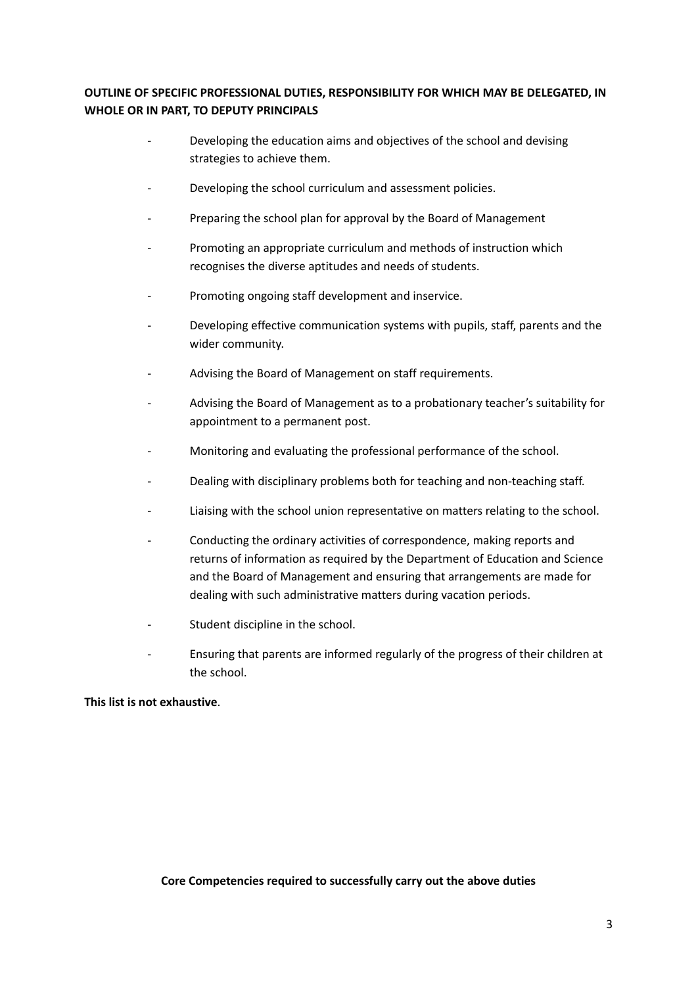## **OUTLINE OF SPECIFIC PROFESSIONAL DUTIES, RESPONSIBILITY FOR WHICH MAY BE DELEGATED, IN WHOLE OR IN PART, TO DEPUTY PRINCIPALS**

- Developing the education aims and objectives of the school and devising strategies to achieve them.
- Developing the school curriculum and assessment policies.
- Preparing the school plan for approval by the Board of Management
- Promoting an appropriate curriculum and methods of instruction which recognises the diverse aptitudes and needs of students.
- Promoting ongoing staff development and inservice.
- Developing effective communication systems with pupils, staff, parents and the wider community.
- Advising the Board of Management on staff requirements.
- Advising the Board of Management as to a probationary teacher's suitability for appointment to a permanent post.
- Monitoring and evaluating the professional performance of the school.
- Dealing with disciplinary problems both for teaching and non-teaching staff.
- Liaising with the school union representative on matters relating to the school.
- Conducting the ordinary activities of correspondence, making reports and returns of information as required by the Department of Education and Science and the Board of Management and ensuring that arrangements are made for dealing with such administrative matters during vacation periods.
- Student discipline in the school.
- Ensuring that parents are informed regularly of the progress of their children at the school.

#### **This list is not exhaustive**.

**Core Competencies required to successfully carry out the above duties**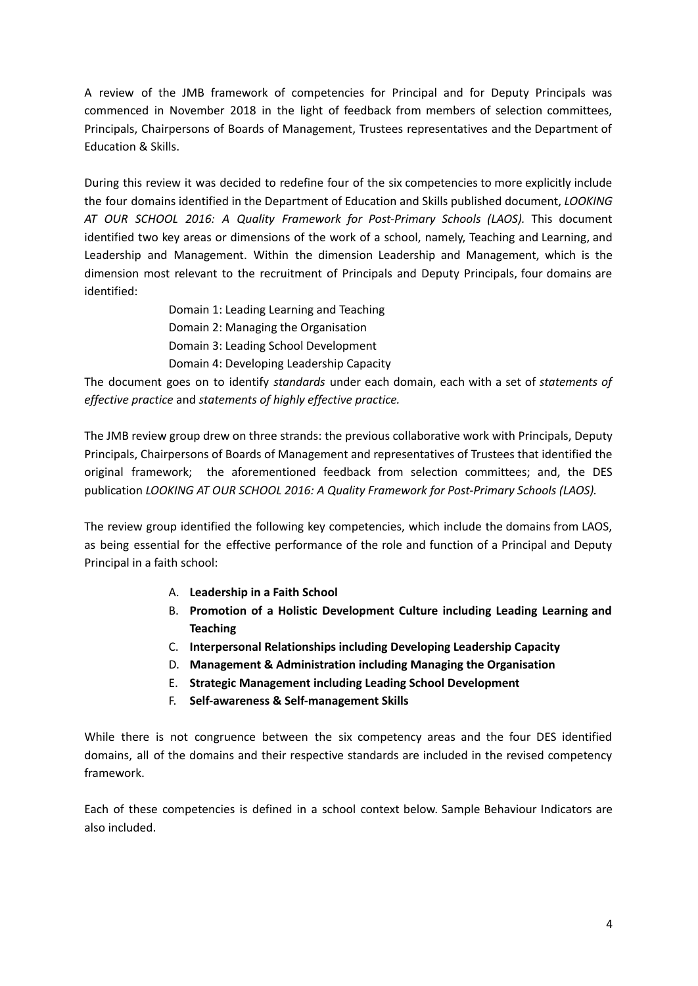A review of the JMB framework of competencies for Principal and for Deputy Principals was commenced in November 2018 in the light of feedback from members of selection committees, Principals, Chairpersons of Boards of Management, Trustees representatives and the Department of Education & Skills.

During this review it was decided to redefine four of the six competencies to more explicitly include the four domains identified in the Department of Education and Skills published document, *LOOKING AT OUR SCHOOL 2016: A Quality Framework for Post-Primary Schools (LAOS).* This document identified two key areas or dimensions of the work of a school, namely, Teaching and Learning, and Leadership and Management. Within the dimension Leadership and Management, which is the dimension most relevant to the recruitment of Principals and Deputy Principals, four domains are identified:

> Domain 1: Leading Learning and Teaching Domain 2: Managing the Organisation Domain 3: Leading School Development Domain 4: Developing Leadership Capacity

The document goes on to identify *standards* under each domain, each with a set of *statements of effective practice* and *statements of highly effective practice.*

The JMB review group drew on three strands: the previous collaborative work with Principals, Deputy Principals, Chairpersons of Boards of Management and representatives of Trustees that identified the original framework; the aforementioned feedback from selection committees; and, the DES publication *LOOKING AT OUR SCHOOL 2016: A Quality Framework for Post-Primary Schools (LAOS).*

The review group identified the following key competencies, which include the domains from LAOS, as being essential for the effective performance of the role and function of a Principal and Deputy Principal in a faith school:

- A. **Leadership in a Faith School**
- B. **Promotion of a Holistic Development Culture including Leading Learning and Teaching**
- C. **Interpersonal Relationships including Developing Leadership Capacity**
- D. **Management & Administration including Managing the Organisation**
- E. **Strategic Management including Leading School Development**
- F. **Self-awareness & Self-management Skills**

While there is not congruence between the six competency areas and the four DES identified domains, all of the domains and their respective standards are included in the revised competency framework.

Each of these competencies is defined in a school context below. Sample Behaviour Indicators are also included.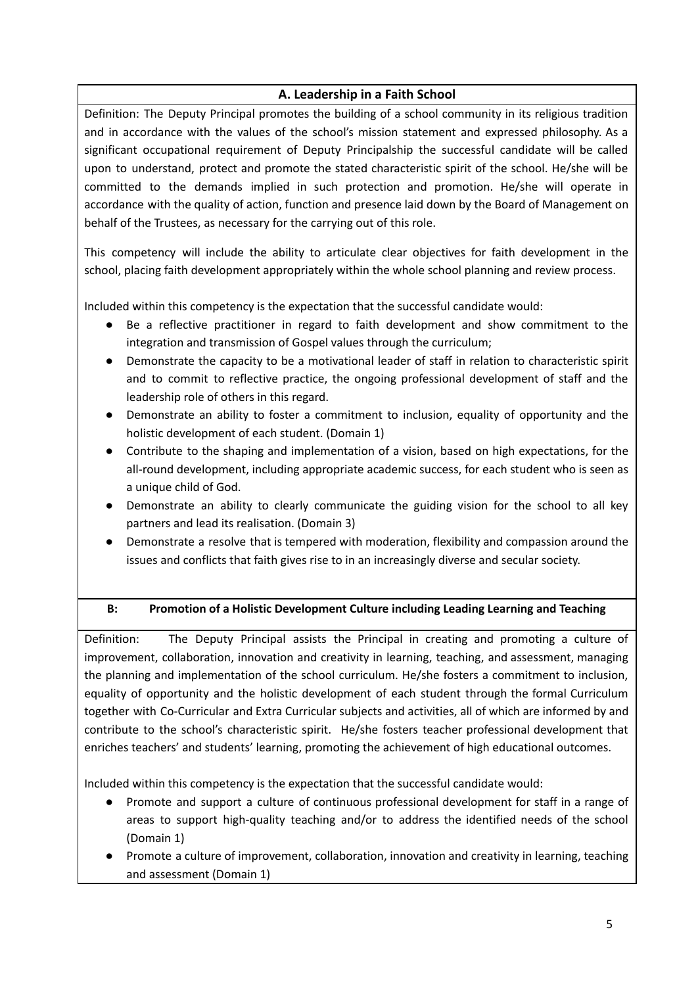# **A. Leadership in a Faith School**

Definition: The Deputy Principal promotes the building of a school community in its religious tradition and in accordance with the values of the school's mission statement and expressed philosophy. As a significant occupational requirement of Deputy Principalship the successful candidate will be called upon to understand, protect and promote the stated characteristic spirit of the school. He/she will be committed to the demands implied in such protection and promotion. He/she will operate in accordance with the quality of action, function and presence laid down by the Board of Management on behalf of the Trustees, as necessary for the carrying out of this role.

This competency will include the ability to articulate clear objectives for faith development in the school, placing faith development appropriately within the whole school planning and review process.

Included within this competency is the expectation that the successful candidate would:

- Be a reflective practitioner in regard to faith development and show commitment to the integration and transmission of Gospel values through the curriculum;
- Demonstrate the capacity to be a motivational leader of staff in relation to characteristic spirit and to commit to reflective practice, the ongoing professional development of staff and the leadership role of others in this regard.
- Demonstrate an ability to foster a commitment to inclusion, equality of opportunity and the holistic development of each student. (Domain 1)
- Contribute to the shaping and implementation of a vision, based on high expectations, for the all-round development, including appropriate academic success, for each student who is seen as a unique child of God.
- Demonstrate an ability to clearly communicate the guiding vision for the school to all key partners and lead its realisation. (Domain 3)
- Demonstrate a resolve that is tempered with moderation, flexibility and compassion around the issues and conflicts that faith gives rise to in an increasingly diverse and secular society.
- 

# **B: Promotion of a Holistic Development Culture including Leading Learning and Teaching**

Definition: The Deputy Principal assists the Principal in creating and promoting a culture of improvement, collaboration, innovation and creativity in learning, teaching, and assessment, managing the planning and implementation of the school curriculum. He/she fosters a commitment to inclusion, equality of opportunity and the holistic development of each student through the formal Curriculum together with Co-Curricular and Extra Curricular subjects and activities, all of which are informed by and contribute to the school's characteristic spirit. He/she fosters teacher professional development that enriches teachers' and students' learning, promoting the achievement of high educational outcomes.

Included within this competency is the expectation that the successful candidate would:

- Promote and support a culture of continuous professional development for staff in a range of areas to support high-quality teaching and/or to address the identified needs of the school (Domain 1)
- Promote a culture of improvement, collaboration, innovation and creativity in learning, teaching and assessment (Domain 1)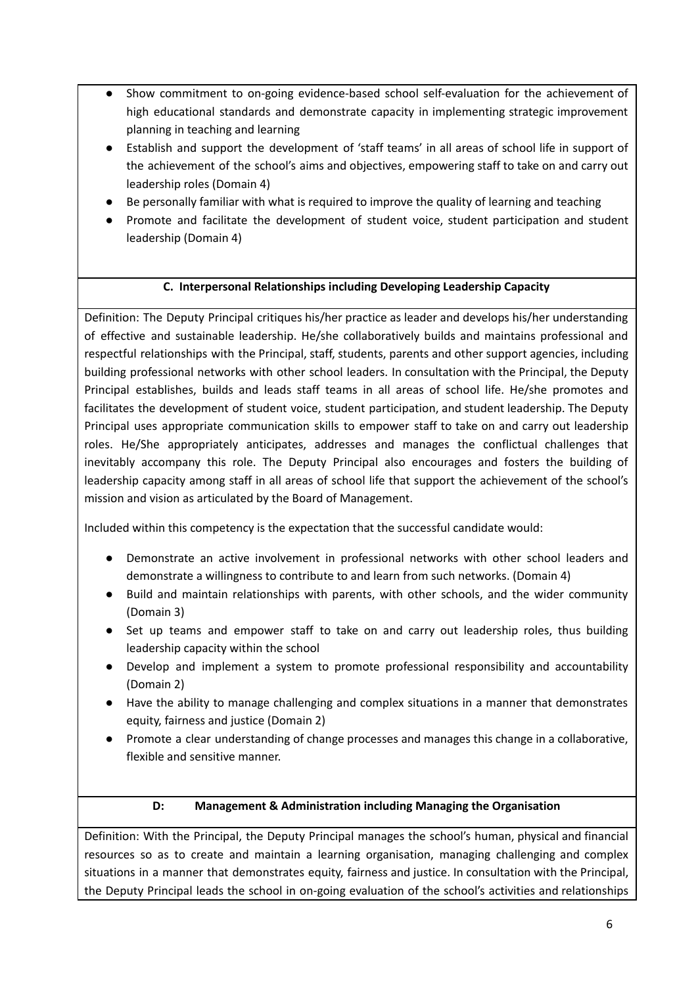- Show commitment to on-going evidence-based school self-evaluation for the achievement of high educational standards and demonstrate capacity in implementing strategic improvement planning in teaching and learning
- Establish and support the development of 'staff teams' in all areas of school life in support of the achievement of the school's aims and objectives, empowering staff to take on and carry out leadership roles (Domain 4)
- Be personally familiar with what is required to improve the quality of learning and teaching
- Promote and facilitate the development of student voice, student participation and student leadership (Domain 4)

# **C. Interpersonal Relationships including Developing Leadership Capacity**

Definition: The Deputy Principal critiques his/her practice as leader and develops his/her understanding of effective and sustainable leadership. He/she collaboratively builds and maintains professional and respectful relationships with the Principal, staff, students, parents and other support agencies, including building professional networks with other school leaders. In consultation with the Principal, the Deputy Principal establishes, builds and leads staff teams in all areas of school life. He/she promotes and facilitates the development of student voice, student participation, and student leadership. The Deputy Principal uses appropriate communication skills to empower staff to take on and carry out leadership roles. He/She appropriately anticipates, addresses and manages the conflictual challenges that inevitably accompany this role. The Deputy Principal also encourages and fosters the building of leadership capacity among staff in all areas of school life that support the achievement of the school's mission and vision as articulated by the Board of Management.

Included within this competency is the expectation that the successful candidate would:

- Demonstrate an active involvement in professional networks with other school leaders and demonstrate a willingness to contribute to and learn from such networks. (Domain 4)
- Build and maintain relationships with parents, with other schools, and the wider community (Domain 3)
- Set up teams and empower staff to take on and carry out leadership roles, thus building leadership capacity within the school
- Develop and implement a system to promote professional responsibility and accountability (Domain 2)
- Have the ability to manage challenging and complex situations in a manner that demonstrates equity, fairness and justice (Domain 2)
- Promote a clear understanding of change processes and manages this change in a collaborative, flexible and sensitive manner.
	-

# **D: Management & Administration including Managing the Organisation**

Definition: With the Principal, the Deputy Principal manages the school's human, physical and financial resources so as to create and maintain a learning organisation, managing challenging and complex situations in a manner that demonstrates equity, fairness and justice. In consultation with the Principal, the Deputy Principal leads the school in on-going evaluation of the school's activities and relationships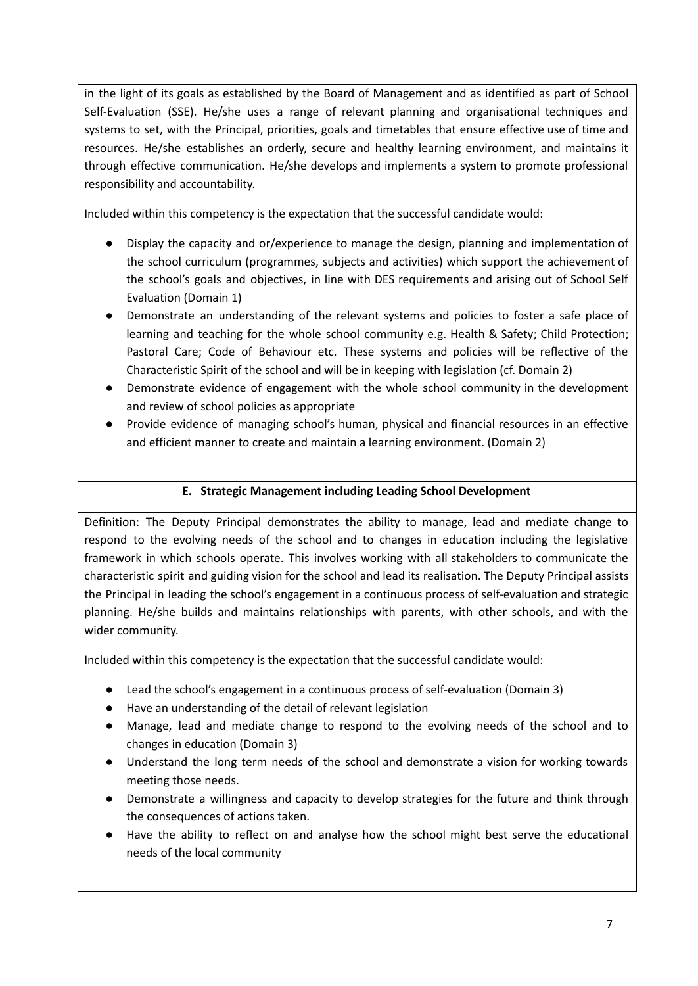in the light of its goals as established by the Board of Management and as identified as part of School Self-Evaluation (SSE). He/she uses a range of relevant planning and organisational techniques and systems to set, with the Principal, priorities, goals and timetables that ensure effective use of time and resources. He/she establishes an orderly, secure and healthy learning environment, and maintains it through effective communication. He/she develops and implements a system to promote professional responsibility and accountability.

Included within this competency is the expectation that the successful candidate would:

- Display the capacity and or/experience to manage the design, planning and implementation of the school curriculum (programmes, subjects and activities) which support the achievement of the school's goals and objectives, in line with DES requirements and arising out of School Self Evaluation (Domain 1)
- Demonstrate an understanding of the relevant systems and policies to foster a safe place of learning and teaching for the whole school community e.g. Health & Safety; Child Protection; Pastoral Care; Code of Behaviour etc. These systems and policies will be reflective of the Characteristic Spirit of the school and will be in keeping with legislation (cf. Domain 2)
- Demonstrate evidence of engagement with the whole school community in the development and review of school policies as appropriate
- Provide evidence of managing school's human, physical and financial resources in an effective and efficient manner to create and maintain a learning environment. (Domain 2)

### **E. Strategic Management including Leading School Development**

Definition: The Deputy Principal demonstrates the ability to manage, lead and mediate change to respond to the evolving needs of the school and to changes in education including the legislative framework in which schools operate. This involves working with all stakeholders to communicate the characteristic spirit and guiding vision for the school and lead its realisation. The Deputy Principal assists the Principal in leading the school's engagement in a continuous process of self-evaluation and strategic planning. He/she builds and maintains relationships with parents, with other schools, and with the wider community.

Included within this competency is the expectation that the successful candidate would:

- Lead the school's engagement in a continuous process of self-evaluation (Domain 3)
- Have an understanding of the detail of relevant legislation
- Manage, lead and mediate change to respond to the evolving needs of the school and to changes in education (Domain 3)
- Understand the long term needs of the school and demonstrate a vision for working towards meeting those needs.
- Demonstrate a willingness and capacity to develop strategies for the future and think through the consequences of actions taken.
- Have the ability to reflect on and analyse how the school might best serve the educational needs of the local community